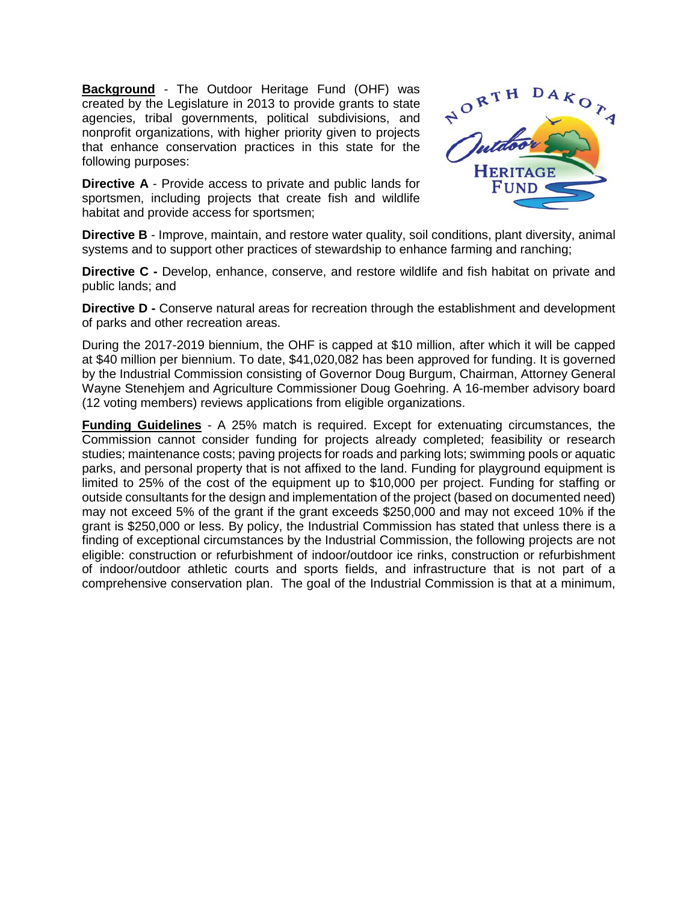**Background** - The Outdoor Heritage Fund (OHF) was created by the Legislature in 2013 to provide grants to state agencies, tribal governments, political subdivisions, and nonprofit organizations, with higher priority given to projects that enhance conservation practices in this state for the following purposes:

**Directive A** - Provide access to private and public lands for sportsmen, including projects that create fish and wildlife habitat and provide access for sportsmen;



**Directive B** - Improve, maintain, and restore water quality, soil conditions, plant diversity, animal systems and to support other practices of stewardship to enhance farming and ranching;

**Directive C -** Develop, enhance, conserve, and restore wildlife and fish habitat on private and public lands; and

**Directive D -** Conserve natural areas for recreation through the establishment and development of parks and other recreation areas.

During the 2017-2019 biennium, the OHF is capped at \$10 million, after which it will be capped at \$40 million per biennium. To date, \$41,020,082 has been approved for funding. It is governed by the Industrial Commission consisting of Governor Doug Burgum, Chairman, Attorney General Wayne Stenehjem and Agriculture Commissioner Doug Goehring. A 16-member advisory board (12 voting members) reviews applications from eligible organizations.

**Funding Guidelines** - A 25% match is required. Except for extenuating circumstances, the Commission cannot consider funding for projects already completed; feasibility or research studies; maintenance costs; paving projects for roads and parking lots; swimming pools or aquatic parks, and personal property that is not affixed to the land. Funding for playground equipment is limited to 25% of the cost of the equipment up to \$10,000 per project. Funding for staffing or outside consultants for the design and implementation of the project (based on documented need) may not exceed 5% of the grant if the grant exceeds \$250,000 and may not exceed 10% if the grant is \$250,000 or less. By policy, the Industrial Commission has stated that unless there is a finding of exceptional circumstances by the Industrial Commission, the following projects are not eligible: construction or refurbishment of indoor/outdoor ice rinks, construction or refurbishment of indoor/outdoor athletic courts and sports fields, and infrastructure that is not part of a comprehensive conservation plan. The goal of the Industrial Commission is that at a minimum,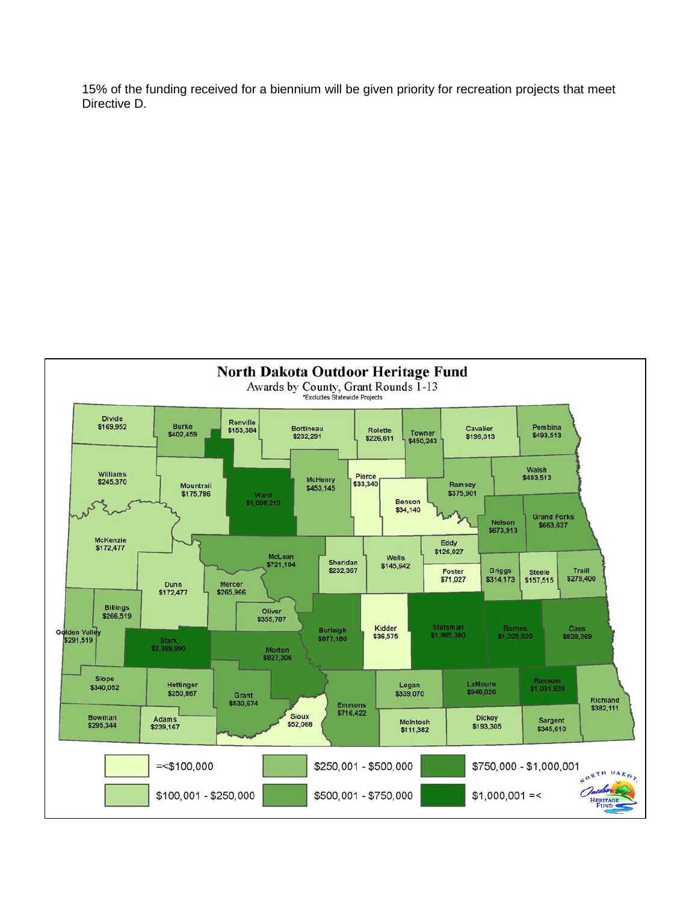15% of the funding received for a biennium will be given priority for recreation projects that meet Directive D.